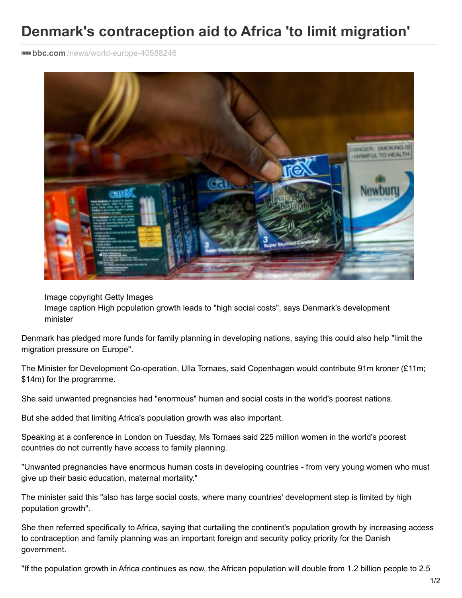## **Denmark's contraception aid to Africa 'to limit migration'**

**BBB bbc.com**[/news/world-europe-40588246](http://www.bbc.com/news/world-europe-40588246)



Image copyright Getty Images Image caption High population growth leads to "high social costs", says Denmark's development minister

Denmark has pledged more funds for family planning in developing nations, saying this could also help "limit the migration pressure on Europe".

The Minister for Development Co-operation, Ulla Tornaes, said Copenhagen would contribute 91m kroner (£11m; \$14m) for the programme.

She said unwanted pregnancies had "enormous" human and social costs in the world's poorest nations.

But she added that limiting Africa's population growth was also important.

Speaking at a conference in London on Tuesday, Ms Tornaes said 225 million women in the world's poorest countries do not currently have access to family planning.

"Unwanted pregnancies have enormous human costs in developing countries - from very young women who must give up their basic education, maternal mortality."

The minister said this "also has large social costs, where many countries' development step is limited by high population growth".

She then referred specifically to Africa, saying that curtailing the continent's population growth by increasing access to contraception and family planning was an important foreign and security policy priority for the Danish government.

"If the population growth in Africa continues as now, the African population will double from 1.2 billion people to 2.5